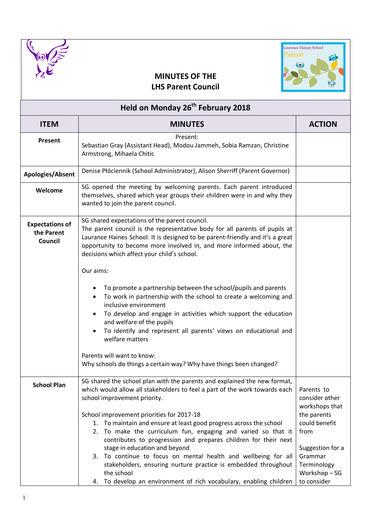



## **MINUTES OF THE LHS Parent Council**

| Held on Monday 26 <sup>th</sup> February 2018   |                                                                                                                                                                                                                                                                                                                                                                                                                                                                                                                                                                                                                                                                                                        |                                                                                                                                                                    |  |  |
|-------------------------------------------------|--------------------------------------------------------------------------------------------------------------------------------------------------------------------------------------------------------------------------------------------------------------------------------------------------------------------------------------------------------------------------------------------------------------------------------------------------------------------------------------------------------------------------------------------------------------------------------------------------------------------------------------------------------------------------------------------------------|--------------------------------------------------------------------------------------------------------------------------------------------------------------------|--|--|
| <b>ITEM</b>                                     | <b>MINUTES</b>                                                                                                                                                                                                                                                                                                                                                                                                                                                                                                                                                                                                                                                                                         | <b>ACTION</b>                                                                                                                                                      |  |  |
| Present                                         | Present:<br>Sebastian Gray (Assistant Head), Modou Jammeh, Sobia Ramzan, Christine<br>Armstrong, Mihaela Chitic                                                                                                                                                                                                                                                                                                                                                                                                                                                                                                                                                                                        |                                                                                                                                                                    |  |  |
| Apologies/Absent                                | Denise Płóciennik (School Administrator), Alison Sherriff (Parent Governor)                                                                                                                                                                                                                                                                                                                                                                                                                                                                                                                                                                                                                            |                                                                                                                                                                    |  |  |
| Welcome                                         | SG opened the meeting by welcoming parents. Each parent introduced<br>themselves, shared which year groups their children were in and why they<br>wanted to join the parent council.                                                                                                                                                                                                                                                                                                                                                                                                                                                                                                                   |                                                                                                                                                                    |  |  |
| <b>Expectations of</b><br>the Parent<br>Council | SG shared expectations of the parent council.<br>The parent council is the representative body for all parents of pupils at<br>Laurance Haines School. It is designed to be parent-friendly and it's a great<br>opportunity to become more involved in, and more informed about, the<br>decisions which affect your child's school.                                                                                                                                                                                                                                                                                                                                                                    |                                                                                                                                                                    |  |  |
|                                                 | Our aims:                                                                                                                                                                                                                                                                                                                                                                                                                                                                                                                                                                                                                                                                                              |                                                                                                                                                                    |  |  |
|                                                 | To promote a partnership between the school/pupils and parents<br>To work in partnership with the school to create a welcoming and<br>inclusive environment<br>To develop and engage in activities which support the education<br>and welfare of the pupils<br>To identify and represent all parents' views on educational and<br>welfare matters                                                                                                                                                                                                                                                                                                                                                      |                                                                                                                                                                    |  |  |
|                                                 | Parents will want to know:<br>Why schools do things a certain way? Why have things been changed?                                                                                                                                                                                                                                                                                                                                                                                                                                                                                                                                                                                                       |                                                                                                                                                                    |  |  |
| <b>School Plan</b>                              | SG shared the school plan with the parents and explained the new format,<br>which would allow all stakeholders to feel a part of the work towards each<br>school improvement priority.<br>School improvement priorities for 2017-18<br>1. To maintain and ensure at least good progress across the school<br>2. To make the curriculum fun, engaging and varied so that it<br>contributes to progression and prepares children for their next<br>stage in education and beyond<br>3. To continue to focus on mental health and wellbeing for all<br>stakeholders, ensuring nurture practice is embedded throughout<br>the school<br>4. To develop an environment of rich vocabulary, enabling children | Parents to<br>consider other<br>workshops that<br>the parents<br>could benefit<br>from<br>Suggestion for a<br>Grammar<br>Terminology<br>Workshop-SG<br>to consider |  |  |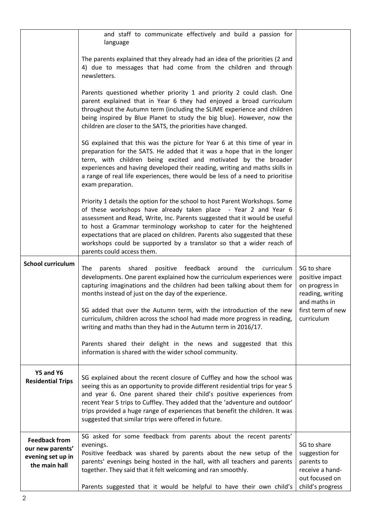|                                                                                | and staff to communicate effectively and build a passion for<br>language                                                                                                                                                                                                                                                                                                                                                                                                                 |                                                                                                      |
|--------------------------------------------------------------------------------|------------------------------------------------------------------------------------------------------------------------------------------------------------------------------------------------------------------------------------------------------------------------------------------------------------------------------------------------------------------------------------------------------------------------------------------------------------------------------------------|------------------------------------------------------------------------------------------------------|
|                                                                                | The parents explained that they already had an idea of the priorities (2 and<br>4) due to messages that had come from the children and through<br>newsletters.                                                                                                                                                                                                                                                                                                                           |                                                                                                      |
|                                                                                | Parents questioned whether priority 1 and priority 2 could clash. One<br>parent explained that in Year 6 they had enjoyed a broad curriculum<br>throughout the Autumn term (including the SLIME experience and children<br>being inspired by Blue Planet to study the big blue). However, now the<br>children are closer to the SATS, the priorities have changed.                                                                                                                       |                                                                                                      |
|                                                                                | SG explained that this was the picture for Year 6 at this time of year in<br>preparation for the SATS. He added that it was a hope that in the longer<br>term, with children being excited and motivated by the broader<br>experiences and having developed their reading, writing and maths skills in<br>a range of real life experiences, there would be less of a need to prioritise<br>exam preparation.                                                                             |                                                                                                      |
|                                                                                | Priority 1 details the option for the school to host Parent Workshops. Some<br>of these workshops have already taken place - Year 2 and Year 6<br>assessment and Read, Write, Inc. Parents suggested that it would be useful<br>to host a Grammar terminology workshop to cater for the heightened<br>expectations that are placed on children. Parents also suggested that these<br>workshops could be supported by a translator so that a wider reach of<br>parents could access them. |                                                                                                      |
| <b>School curriculum</b>                                                       | positive feedback around the curriculum<br>shared<br>The<br>parents<br>developments. One parent explained how the curriculum experiences were<br>capturing imaginations and the children had been talking about them for<br>months instead of just on the day of the experience.                                                                                                                                                                                                         | SG to share<br>positive impact<br>on progress in<br>reading, writing<br>and maths in                 |
|                                                                                | SG added that over the Autumn term, with the introduction of the new<br>curriculum, children across the school had made more progress in reading,<br>writing and maths than they had in the Autumn term in 2016/17.                                                                                                                                                                                                                                                                      | first term of new<br>curriculum                                                                      |
|                                                                                | Parents shared their delight in the news and suggested that this<br>information is shared with the wider school community.                                                                                                                                                                                                                                                                                                                                                               |                                                                                                      |
| Y5 and Y6<br><b>Residential Trips</b>                                          | SG explained about the recent closure of Cuffley and how the school was<br>seeing this as an opportunity to provide different residential trips for year 5<br>and year 6. One parent shared their child's positive experiences from<br>recent Year 5 trips to Cuffley. They added that the 'adventure and outdoor'<br>trips provided a huge range of experiences that benefit the children. It was<br>suggested that similar trips were offered in future.                               |                                                                                                      |
| <b>Feedback from</b><br>our new parents'<br>evening set up in<br>the main hall | SG asked for some feedback from parents about the recent parents'<br>evenings.<br>Positive feedback was shared by parents about the new setup of the<br>parents' evenings being hosted in the hall, with all teachers and parents<br>together. They said that it felt welcoming and ran smoothly.<br>Parents suggested that it would be helpful to have their own child's                                                                                                                | SG to share<br>suggestion for<br>parents to<br>receive a hand-<br>out focused on<br>child's progress |
|                                                                                |                                                                                                                                                                                                                                                                                                                                                                                                                                                                                          |                                                                                                      |